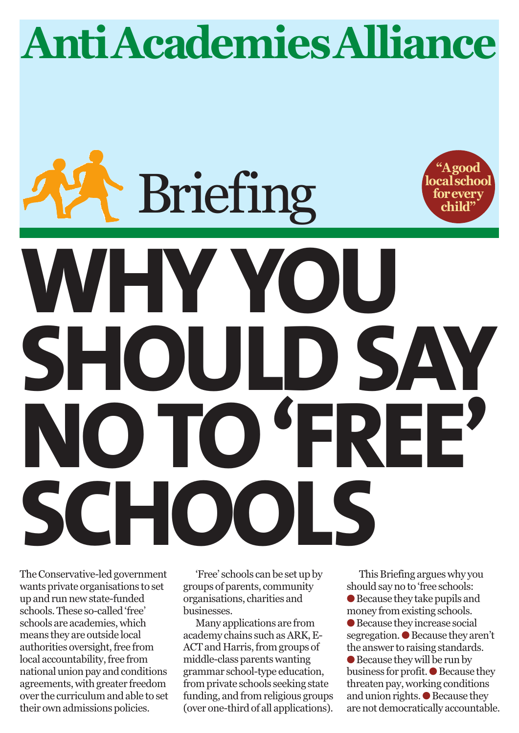# **Anti AcademiesAlliance**

# **"Agood localschool forevery child" WHY Y SHOULD SAY**<br>NOTO FREE **NO TO 'FREE' SCHOOLS Briefing**

The Conservative-led government wants private organisations to set up and run new state-funded schools. These so-called 'free' schools are academies, which means they are outside local authorities oversight, free from local accountability, free from national union pay and conditions agreements, with greater freedom over the curriculum and able to set their own admissions policies.

'Free' schools can be set up by groups of parents, community organisations, charities and businesses.

Many applications are from academy chains such as ARK, E-ACT and Harris, from groups of middle-class parents wanting grammar school-type education, from private schools seeking state funding, and from religious groups (over one-third of all applications).

This Briefing argues why you should say no to 'free schools:  $\bullet$  Because they take pupils and money from existing schools.  $\bullet$  Because they increase social segregation.  $\bullet$  Because they aren't the answer to raising standards.  $\bullet$  Because they will be run by business for profit.  $\bullet$  Because they threaten pay, working conditions and union rights.  $\bullet$  Because they are not democratically accountable.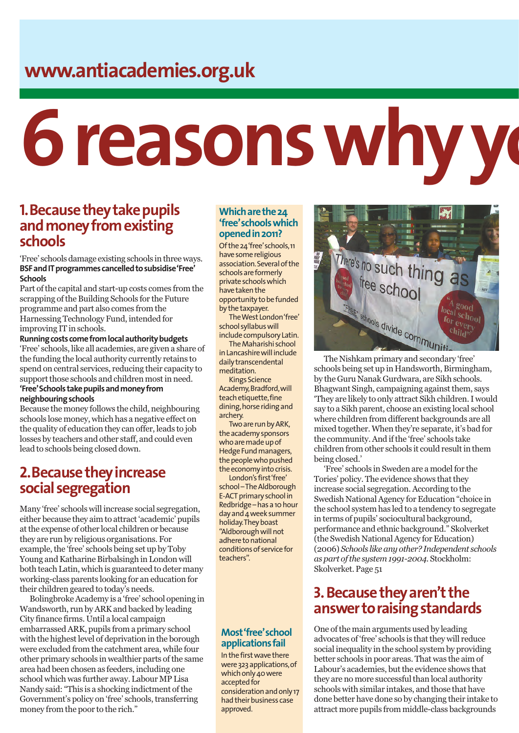# **www.antiacademies.org.uk**

# **6 reasons why yo**

## **1. Because they take pupils and money from existing schools**

'Free' schools damage existing schools in three ways. **BSF and IT programmes cancelled to subsidise 'Free' Schools**

Part of the capital and start-up costs comes from the scrapping of the Building Schools for the Future programme and part also comes from the Harnessing Technology Fund, intended for improving IT in schools.

**Running costs come from local authority budgets** 'Free' schools, like all academies, are given a share of the funding the local authority currently retains to spend on central services, reducing their capacity to support those schools and children most in need. **'Free' Schools take pupils and money from**

#### **neighbouring schools**

Because the money follows the child, neighbouring schools lose money, which has a negative effect on the quality of education they can offer, leads to job losses by teachers and other staff, and could even lead to schools being closed down.

# **2. Because they increase social segregation**

Many 'free' schools will increase social segregation, either because they aim to attract 'academic' pupils at the expense of other local children or because they are run by religious organisations. For example, the 'free' schools being set up by Toby Young and Katharine Birbalsingh in London will both teach Latin, which is guaranteed to deter many working-class parents looking for an education for their children geared to today's needs.

Bolingbroke Academy is a 'free' school opening in Wandsworth, run by ARK and backed by leading City finance firms. Until a local campaign embarrassed ARK, pupils from a primary school with the highest level of deprivation in the borough were excluded from the catchment area, while four other primary schools in wealthier parts of the same area had been chosen as feeders, including one school which was further away. Labour MP Lisa Nandy said: "This is a shocking indictment of the Government's policy on 'free' schools, transferring money from the poor to the rich."

#### **Which are the 24 'free' schools which opened in 2011?**

Of the 24 'free' schools, 11 have some religious association. Several of the schools are formerly private schools which have taken the opportunity to be funded by the taxpayer.

The West London 'free' school syllabus will include compulsory Latin.

The Maharishi school in Lancashire will include daily transcendental meditation.

Kings Science Academy, Bradford, will teach etiquette, fine dining, horse riding and archery.

Two are run by ARK, the academy sponsors who are made up of Hedge Fund managers, the people who pushed the economy into crisis.

London's first 'free' school – The Aldborough E-ACT primary school in Redbridge – has a 10 hour day and 4 week summer holiday. They boast "Aldborough will not adhere to national conditions of service for teachers".

### **Most 'free' school applications fail**

In the first wave there were 323 applications, of which only 40 were accepted for consideration and only 17 had their business case approved.



schools being set up in Handsworth, Birmingham, by the Guru Nanak Gurdwara, are Sikh schools. Bhagwant Singh, campaigning against them, says 'They are likely to only attract Sikh children. I would say to a Sikh parent, choose an existing local school where children from different backgrounds are all mixed together. When they're separate, it's bad for the community. And if the 'free' schools take children from other schools it could result in them being closed.'

'Free' schools in Sweden are a model for the Tories' policy. The evidence shows that they increase social segregation. According to the Swedish National Agency for Education "choice in the school system has led to a tendency to segregate in terms of pupils' sociocultural background, performance and ethnic background." Skolverket (the Swedish National Agency for Education) (2006) *Schools like any other? Independent schools as part of the system 1991-2004.* Stockholm: Skolverket. Page 51

# **3.Because they aren't the answer to raising standards**

One of the main arguments used by leading advocates of 'free' schools is that they will reduce social inequality in the school system by providing better schools in poor areas. That was the aim of Labour's academies, but the evidence shows that they are no more successful than local authority schools with similar intakes, and those that have done better have done so by changing their intake to attract more pupils from middle-class backgrounds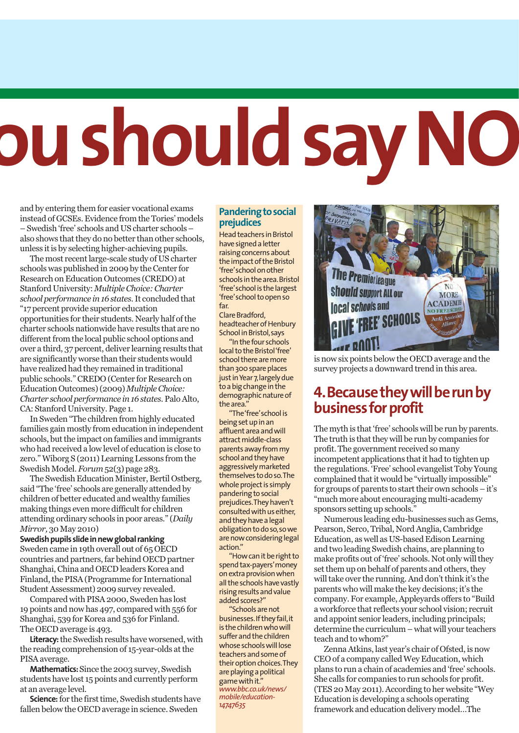# **ou should say NO**

and by entering them for easier vocational exams instead of GCSEs. Evidence from the Tories' models – Swedish 'free' schools and US charter schools – also shows that they do no better than other schools, unless it is by selecting higher-achieving pupils.

The most recent large-scale study of US charter schools was published in 2009 by the Center for Research on Education Outcomes (CREDO) at Stanford University: *Multiple Choice: Charter school performance in 16 states*. It concluded that "17 percent provide superior education opportunities for their students. Nearly half of the charter schools nationwide have results that are no different from the local public school options and over a third, 37 percent, deliver learning results that are significantly worse than their students would have realized had they remained in traditional public schools." CREDO (Center for Research on Education Outcomes) (2009) *Multiple Choice: Charter school performance in 16 states*. Palo Alto, CA: Stanford University. Page 1.

In Sweden "The children from highly educated families gain mostly from education in independent schools, but the impact on families and immigrants who had received a low level of education is close to zero." Wiborg S (2011) Learning Lessons from the Swedish Model. *Forum* 52(3) page 283.

The Swedish Education Minister, Bertil Ostberg, said "The 'free' schools are generally attended by children of better educated and wealthy families making things even more difficult for children attending ordinary schools in poor areas." (*Daily Mirror,* 30 May 2010)

**Swedish pupils slide in new global ranking** Sweden came in 19th overall out of 65 OECD countries and partners, far behind OECD partner Shanghai, China and OECD leaders Korea and Finland, the PISA (Programme for International Student Assessment) 2009 survey revealed.

Compared with PISA 2000, Sweden has lost 19 points and now has 497, compared with 556 for Shanghai, 539 for Korea and 536 for Finland. The OECD average is 493.

**Literacy:**the Swedish results have worsened, with the reading comprehension of 15-year-olds at the PISA average.

**Mathematics:**Since the 2003 survey, Swedish students have lost 15 points and currently perform at an average level.

**Science:** for the first time, Swedish students have fallen below the OECD average in science. Sweden

#### **Pandering to social prejudices**

Head teachers in Bristol have signed a letter raising concerns about the impact of the Bristol 'free' school on other schools in the area. Bristol 'free' school is the largest 'free' school to open so far.

Clare Bradford, headteacher of Henbury School in Bristol, says

"In the four schools local to the Bristol 'free' school there are more than 300 spare places just in Year 7, largely due to a big change in the demographic nature of the area.'

"The 'free' school is being set up in an affluent area and will attract middle-class parents away from my school and they have aggressively marketed themselves to do so. The whole project is simply pandering to social prejudices. They haven't consulted with us either, and they have a legal obligation to do so, so we are now considering legal action."

"How can it be right to spend tax-payers' money on extra provision when all the schools have vastly rising results and value added scores?"

"Schools are not businesses. If they fail, it is the children who will suffer and the children whose schools will lose teachers and some of their option choices. They are playing a political game with it." *www.bbc.co.uk/news/ mobile/education-14747635*



is now six points below the OECD average and the survey projects a downward trend in this area.

# **4. Because they will be run by business for profit**

The myth is that 'free' schools will be run by parents. The truth is that they will be run by companies for profit. The government received so many incompetent applications that it had to tighten up the regulations. 'Free' school evangelist Toby Young complained that it would be "virtually impossible" for groups of parents to start their own schools – it's "much more about encouraging multi-academy sponsors setting up schools."

Numerous leading edu-businesses such as Gems, Pearson, Serco, Tribal, Nord Anglia, Cambridge Education, as well as US-based Edison Learning and two leading Swedish chains, are planning to make profits out of 'free' schools. Not only will they set them up on behalf of parents and others, they will take over the running. And don't think it's the parents who will make the key decisions; it's the company. For example, Appleyards offers to "Build a workforce that reflects your school vision; recruit and appoint senior leaders, including principals; determine the curriculum – what will your teachers teach and to whom?"

Zenna Atkins, last year's chair of Ofsted, is now CEO of a company called Wey Education, which plans to run a chain of academies and 'free' schools. She calls for companies to run schools for profit. (TES 20 May 2011). According to her website "Wey Education is developing a schools operating framework and education delivery model…The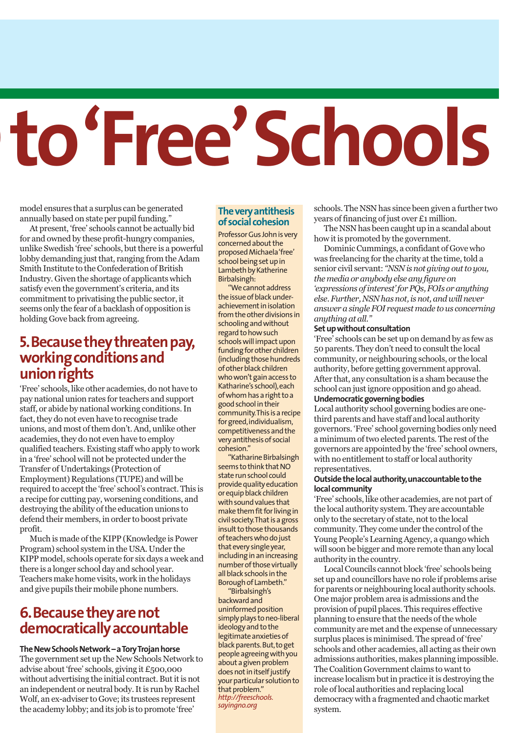# to 'Free' Schools

model ensures that a surplus can be generated annually based on state per pupil funding."

At present, 'free' schools cannot be actually bid for and owned by these profit-hungry companies, unlike Swedish 'free' schools, but there is a powerful lobby demanding just that, ranging from the Adam Smith Institute to the Confederation of British Industry. Given the shortage of applicants which satisfy even the government's criteria, and its commitment to privatising the public sector, it seems only the fear of a backlash of opposition is holding Gove back from agreeing.

## **5. Because they threaten pay, working conditions and union rights**

'Free' schools, like other academies, do not have to pay national union rates for teachers and support staff, or abide by national working conditions. In fact, they do not even have to recognise trade unions, and most of them don't. And, unlike other academies, they do not even have to employ qualified teachers. Existing staff who apply to work in a 'free' school will not be protected under the Transfer of Undertakings (Protection of Employment) Regulations (TUPE) and will be required to accept the 'free' school's contract. This is a recipe for cutting pay, worsening conditions, and destroying the ability of the education unions to defend their members, in order to boost private profit.

Much is made of the KIPP (Knowledge is Power Program) school system in the USA. Under the KIPP model, schools operate for six days a week and there is a longer school day and school year. Teachers make home visits, work in the holidays and give pupils their mobile phone numbers.

# **6. Because they are not democratically accountable**

#### **The New Schools Network – a Tory Trojan horse**

The government set up the New Schools Network to advise about 'free' schools, giving it £500,000 without advertising the initial contract. But it is not an independent or neutral body. It is run by Rachel Wolf, an ex-adviser to Gove; its trustees represent the academy lobby; and its job is to promote 'free'

### **The very antithesis of social cohesion**

Professor Gus John is very concerned about the proposed Michaela 'free' school being set up in Lambeth by Katherine Birbalsingh:

"We cannot address the issue of black underachievement in isolation from the other divisions in schooling and without regard to how such schools will impact upon funding for other children (including those hundreds of other black children who won't gain access to Katharine's school), each of whom has a right to a good school in their community. This is a recipe for greed, individualism, competitiveness and the very antithesis of social cohesion."

"Katharine Birbalsingh seems to think that NO state run school could provide quality education or equip black children with sound values that make them fit for living in civil society. That is a gross insult to those thousands of teachers who do just that every single year, including in an increasing number of those virtually all black schools in the Borough of Lambeth."

"Birbalsingh's backward and uninformed position simply plays to neo-liberal ideology and to the legitimate anxieties of black parents. But, to get people agreeing with you about a given problem does not in itself justify your particular solution to that problem." *http://freeschools. sayingno.org*

schools. The NSN has since been given a further two years of financing of just over £1 million.

The NSN has been caught up in a scandal about how it is promoted by the government.

Dominic Cummings, a confidant of Gove who was freelancing for the charity at the time, told a senior civil servant: *"NSN is not giving out to you, the media or anybody else any figure on 'expressions of interest' for PQs, FOIs or anything else. Further, NSN has not, is not, and will never answer a single FOI request made to us concerning anything at all."*

#### **Set up without consultation**

'Free' schools can be set up on demand by as few as 50 parents. They don't need to consult the local community, or neighbouring schools, or the local authority, before getting government approval. After that, any consultation is a sham because the school can just ignore opposition and go ahead. **Undemocratic governing bodies**

Local authority school governing bodies are onethird parents and have staff and local authority governors. 'Free' school governing bodies only need a minimum of two elected parents. The rest of the governors are appointed by the 'free' school owners, with no entitlement to staff or local authority representatives.

#### **Outside the local authority, unaccountable to the local community**

'Free' schools, like other academies, are not part of the local authority system. They are accountable only to the secretary of state, not to the local community. They come under the control of the Young People's Learning Agency, a quango which will soon be bigger and more remote than any local authority in the country.

Local Councils cannot block 'free' schools being set up and councillors have no role if problems arise for parents or neighbouring local authority schools. One major problem area is admissions and the provision of pupil places. This requires effective planning to ensure that the needs of the whole community are met and the expense of unnecessary surplus places is minimised. The spread of 'free' schools and other academies, all acting as their own admissions authorities, makes planning impossible. The Coalition Government claims to want to increase localism but in practice it is destroying the role of local authorities and replacing local democracy with a fragmented and chaotic market system.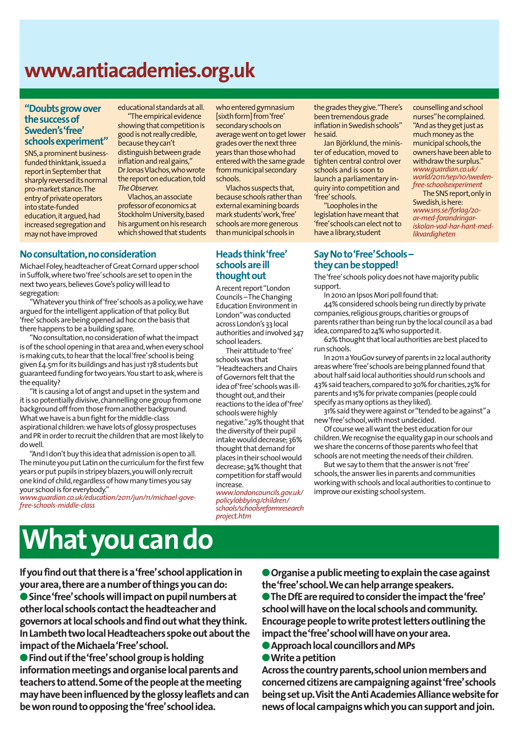# **www.antiacademies.org.uk**

#### **"Doubts grow over the success of Sweden's 'free' schools experiment"**

SNS, a prominent businessfunded thinktank, issued a report in September that sharply reversed its normal pro-market stance. The entry of private operators into state-funded education, it argued, had increased segregation and may not have improved

educational standards at all. "The empirical evidence

showing that competition is good is not really credible, because they can't distinguish between grade inflation and real gains," Dr Jonas Vlachos, who wrote the report on education, told *The Observer.*

Vlachos, an associate professor of economics at Stockholm University, based his argument on his research which showed that students

### **No consultation, no consideration**

Michael Foley, headteacher of Great Cornard upper school in Suffolk, where two 'free' schools are set to open in the next two years, believes Gove's policy will lead to segregation:

"Whatever you think of 'free' schools as a policy, we have argued for the intelligent application of that policy. But 'free' schools are being opened ad hoc on the basis that there happens to be a building spare.

"No consultation, no consideration of what the impact is of the school opening in that area and, when every school is making cuts, to hear that the local 'free' school is being given £4.5m for its buildings and has just 178 students but guaranteed funding for two years. You start to ask, where is the equality?

"It is causing a lot of angst and upset in the system and it is so potentially divisive, channelling one group from one background off from those from another background. What we have is a bun fight for the middle-class aspirational children: we have lots of glossy prospectuses and PR in order to recruit the children that are most likely to do well.

"And I don't buy this idea that admission is open to all. The minute you put Latin on the curriculum for the first few years or put pupils in stripey blazers, you will only recruit one kind of child, regardless of how many times you say your school is for everybody."

*www.guardian.co.uk/education/2011/jun/11/michael-govefree-schools-middle-class*

#### who entered gymnasium [sixth form] from 'free' secondary schools on average went on to get lower grades over the next three years than those who had entered with the same grade from municipal secondary schools.

Vlachos suspects that, because schools rather than external examining boards mark students' work, 'free' schools are more generous than municipal schools in

#### **Heads think 'free' schools are ill thought out**

A recent report "London Councils – The Changing Education Environment in London" was conducted across London's 33 local authorities and involved 347 school leaders.

Their attitude to 'free' schools was that "Headteachers and Chairs of Governors felt that the idea of 'free' schools was illthought out, and their reactions to the idea of 'free' schools were highly negative." 29% thought that the diversity of their pupil intake would decrease; 36% thought that demand for places in their school would decrease; 34% thought that competition for staff would increase.

*www.londoncouncils.gov.uk/ policylobbying/children/ schools/schoolsreformresearch project.htm*

the grades they give. "There's been tremendous grade inflation in Swedish schools" he said.

Jan Björklund, the minister of education, moved to tighten central control over schools and is soon to launch a parliamentary inquiry into competition and 'free' schools.

"Loopholes in the legislation have meant that 'free' schools can elect not to have a library, student

## **Say No to 'Free' Schools – they can be stopped!**

counselling and school nurses" he complained. "And as they get just as much money as the municipal schools, the owners have been able to withdraw the surplus." *www.guardian.co.uk/ world/2011/sep/10/swedenfree-schoolsexperiment*

The SNS report, only in Swedish, is here: *www.sns.se/forlag/20 ar-med-forandringariskolan-vad-har-hant-medlikvardigheten*

The 'free' schools policy does not have majority public support.

In 2010 an Ipsos Mori poll found that:

44% considered schools being run directly by private companies, religious groups, charities or groups of parents rather than being run by the local council as a bad idea, compared to 24% who supported it.

62% thought that local authorities are best placed to run schools.

In 2011 a YouGov survey of parents in 22 local authority areas where 'free' schools are being planned found that about half said local authorities should run schools and 43% said teachers, compared to 30% for charities, 25% for parents and 15% for private companies (people could specify as many options as they liked).

31% said they were against or "tended to be against" a new 'free' school, with most undecided.

Of course we all want the best education for our children. We recognise the equality gap in our schools and we share the concerns of those parents who feel that schools are not meeting the needs of their children.

But we say to them that the answer is not 'free' schools, the answer lies in parents and communities working with schools and local authorities to continue to improve our existing school system.

# **What you can do**

**If you find out that there is a 'free' school application in your area, there are a number of things you can do:**

l**Since 'free' schools will impact on pupil numbers at other local schools contact the headteacher and governors at local schools and find out what they think. In Lambeth two local Headteachers spoke out about the impact of the Michaela 'Free' school.**

**• Find out if the 'free' school group is holding information meetings and organise local parents and teachers to attend. Some of the people at the meeting may have been influenced by the glossy leaflets and can be won round to opposing the 'free' school idea.**

l**Organise a public meeting to explain the case against the 'free' school. We can help arrange speakers.**

l**The DfE are required to consider the impact the 'free' school will have on the local schools and community. Encourage people to write protest letters outlining the impact the 'free' school will have on your area.**

l**Approach local councillors and MPs**

l**Write a petition**

**Across the country parents, school union members and concerned citizens are campaigning against 'free' schools being set up. Visit the Anti Academies Alliance website for news of local campaigns which you can support and join.**